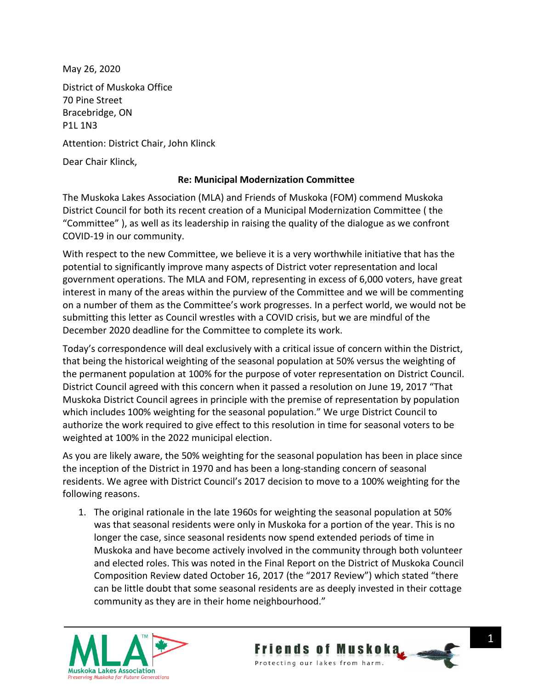May 26, 2020

District of Muskoka Office 70 Pine Street Bracebridge, ON P1L 1N3

Attention: District Chair, John Klinck

Dear Chair Klinck,

## **Re: Municipal Modernization Committee**

The Muskoka Lakes Association (MLA) and Friends of Muskoka (FOM) commend Muskoka District Council for both its recent creation of a Municipal Modernization Committee ( the "Committee" ), as well as its leadership in raising the quality of the dialogue as we confront COVID-19 in our community.

With respect to the new Committee, we believe it is a very worthwhile initiative that has the potential to significantly improve many aspects of District voter representation and local government operations. The MLA and FOM, representing in excess of 6,000 voters, have great interest in many of the areas within the purview of the Committee and we will be commenting on a number of them as the Committee's work progresses. In a perfect world, we would not be submitting this letter as Council wrestles with a COVID crisis, but we are mindful of the December 2020 deadline for the Committee to complete its work.

Today's correspondence will deal exclusively with a critical issue of concern within the District, that being the historical weighting of the seasonal population at 50% versus the weighting of the permanent population at 100% for the purpose of voter representation on District Council. District Council agreed with this concern when it passed a resolution on June 19, 2017 "That Muskoka District Council agrees in principle with the premise of representation by population which includes 100% weighting for the seasonal population." We urge District Council to authorize the work required to give effect to this resolution in time for seasonal voters to be weighted at 100% in the 2022 municipal election.

As you are likely aware, the 50% weighting for the seasonal population has been in place since the inception of the District in 1970 and has been a long-standing concern of seasonal residents. We agree with District Council's 2017 decision to move to a 100% weighting for the following reasons.

1. The original rationale in the late 1960s for weighting the seasonal population at 50% was that seasonal residents were only in Muskoka for a portion of the year. This is no longer the case, since seasonal residents now spend extended periods of time in Muskoka and have become actively involved in the community through both volunteer and elected roles. This was noted in the Final Report on the District of Muskoka Council Composition Review dated October 16, 2017 (the "2017 Review") which stated "there can be little doubt that some seasonal residents are as deeply invested in their cottage community as they are in their home neighbourhood."